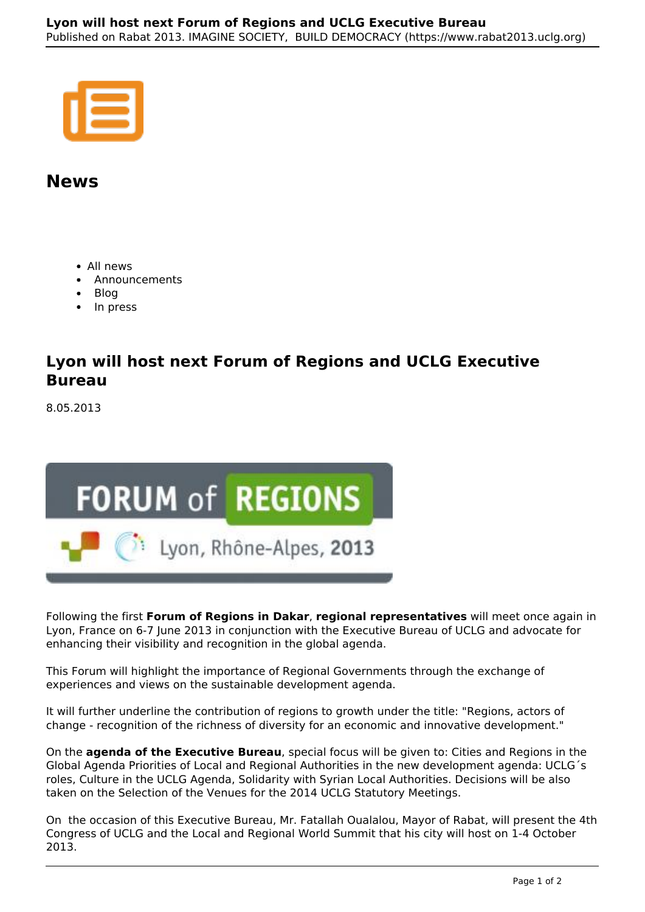## **News**

- All news
- Announcements
- Blog
- In press

## **Lyon will host next Forum of Regions and UCLG Executive Bureau**

8.05.2013



Following the first **Forum of Regions in Dakar**, **regional representatives** will meet once again in Lyon, France on 6-7 June 2013 in conjunction with the Executive Bureau of UCLG and advocate for enhancing their visibility and recognition in the global agenda.

This Forum will highlight the importance of Regional Governments through the exchange of experiences and views on the sustainable development agenda.

It will further underline the contribution of regions to growth under the title: "Regions, actors of change - recognition of the richness of diversity for an economic and innovative development."

On the **agenda of the Executive Bureau**, special focus will be given to: Cities and Regions in the Global Agenda Priorities of Local and Regional Authorities in the new development agenda: UCLG´s roles, Culture in the UCLG Agenda, Solidarity with Syrian Local Authorities. Decisions will be also taken on the Selection of the Venues for the 2014 UCLG Statutory Meetings.

On the occasion of this Executive Bureau, Mr. Fatallah Oualalou, Mayor of Rabat, will present the 4th Congress of UCLG and the Local and Regional World Summit that his city will host on 1-4 October 2013.